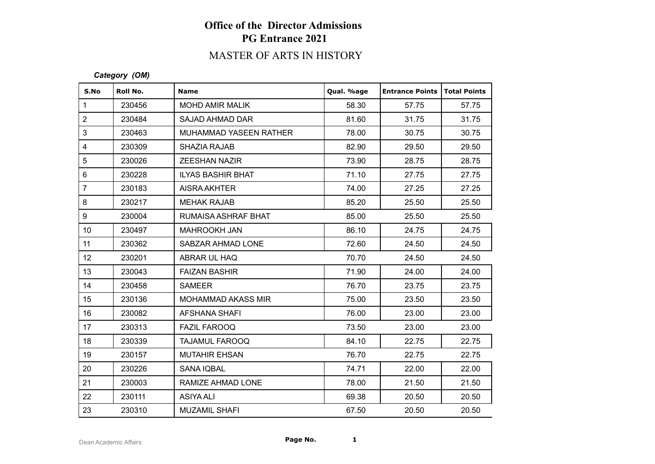# MASTER OF ARTS IN HISTORY

#### *Category (OM)*

| S.No             | Roll No. | <b>Name</b>               | Qual. %age | <b>Entrance Points   Total Points</b> |       |
|------------------|----------|---------------------------|------------|---------------------------------------|-------|
| $\mathbf{1}$     | 230456   | <b>MOHD AMIR MALIK</b>    | 58.30      | 57.75                                 | 57.75 |
| $\overline{2}$   | 230484   | <b>SAJAD AHMAD DAR</b>    | 81.60      | 31.75                                 | 31.75 |
| 3                | 230463   | MUHAMMAD YASEEN RATHER    | 78.00      | 30.75                                 | 30.75 |
| $\overline{4}$   | 230309   | SHAZIA RAJAB              | 82.90      | 29.50                                 | 29.50 |
| 5                | 230026   | <b>ZEESHAN NAZIR</b>      | 73.90      | 28.75                                 | 28.75 |
| $6\phantom{1}$   | 230228   | <b>ILYAS BASHIR BHAT</b>  | 71.10      | 27.75                                 | 27.75 |
| $\overline{7}$   | 230183   | AISRA AKHTER              | 74.00      | 27.25                                 | 27.25 |
| 8                | 230217   | <b>MEHAK RAJAB</b>        | 85.20      | 25.50                                 | 25.50 |
| 9                | 230004   | RUMAISA ASHRAF BHAT       | 85.00      | 25.50                                 | 25.50 |
| 10 <sup>°</sup>  | 230497   | <b>MAHROOKH JAN</b>       | 86.10      | 24.75                                 | 24.75 |
| 11               | 230362   | SABZAR AHMAD LONE         | 72.60      | 24.50                                 | 24.50 |
| 12 <sup>°</sup>  | 230201   | ABRAR UL HAQ              | 70.70      | 24.50                                 | 24.50 |
| 13               | 230043   | <b>FAIZAN BASHIR</b>      | 71.90      | 24.00                                 | 24.00 |
| 14               | 230458   | <b>SAMEER</b>             | 76.70      | 23.75                                 | 23.75 |
| 15 <sub>15</sub> | 230136   | <b>MOHAMMAD AKASS MIR</b> | 75.00      | 23.50                                 | 23.50 |
| 16               | 230082   | AFSHANA SHAFI             | 76.00      | 23.00                                 | 23.00 |
| 17               | 230313   | <b>FAZIL FAROOQ</b>       | 73.50      | 23.00                                 | 23.00 |
| 18               | 230339   | <b>TAJAMUL FAROOQ</b>     | 84.10      | 22.75                                 | 22.75 |
| 19               | 230157   | <b>MUTAHIR EHSAN</b>      | 76.70      | 22.75                                 | 22.75 |
| 20               | 230226   | SANA IQBAL                | 74.71      | 22.00                                 | 22.00 |
| 21               | 230003   | RAMIZE AHMAD LONE         | 78.00      | 21.50                                 | 21.50 |
| 22               | 230111   | <b>ASIYA ALI</b>          | 69.38      | 20.50                                 | 20.50 |
| 23               | 230310   | <b>MUZAMIL SHAFI</b>      | 67.50      | 20.50                                 | 20.50 |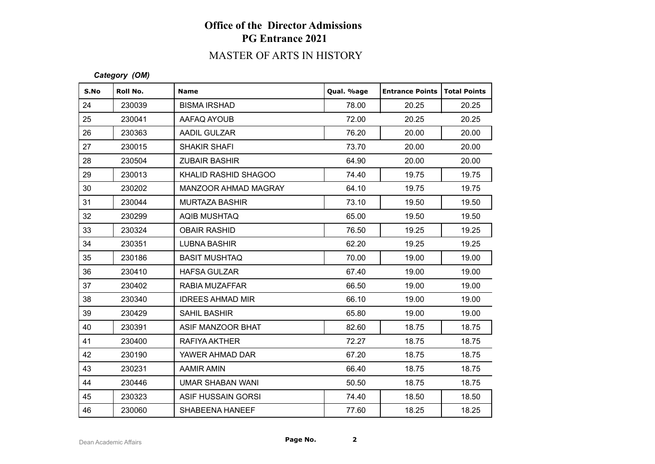# MASTER OF ARTS IN HISTORY

#### *Category (OM)*

| S.No | Roll No. | <b>Name</b>             | Qual. %age | <b>Entrance Points</b> | <b>Total Points</b> |
|------|----------|-------------------------|------------|------------------------|---------------------|
| 24   | 230039   | <b>BISMA IRSHAD</b>     | 78.00      | 20.25                  | 20.25               |
| 25   | 230041   | AAFAQ AYOUB             | 72.00      | 20.25                  | 20.25               |
| 26   | 230363   | AADIL GULZAR            | 76.20      | 20.00                  | 20.00               |
| 27   | 230015   | <b>SHAKIR SHAFI</b>     | 73.70      | 20.00                  | 20.00               |
| 28   | 230504   | <b>ZUBAIR BASHIR</b>    | 64.90      | 20.00                  | 20.00               |
| 29   | 230013   | KHALID RASHID SHAGOO    | 74.40      | 19.75                  | 19.75               |
| 30   | 230202   | MANZOOR AHMAD MAGRAY    | 64.10      | 19.75                  | 19.75               |
| 31   | 230044   | <b>MURTAZA BASHIR</b>   | 73.10      | 19.50                  | 19.50               |
| 32   | 230299   | AQIB MUSHTAQ            | 65.00      | 19.50                  | 19.50               |
| 33   | 230324   | <b>OBAIR RASHID</b>     | 76.50      | 19.25                  | 19.25               |
| 34   | 230351   | <b>LUBNA BASHIR</b>     | 62.20      | 19.25                  | 19.25               |
| 35   | 230186   | <b>BASIT MUSHTAQ</b>    | 70.00      | 19.00                  | 19.00               |
| 36   | 230410   | <b>HAFSA GULZAR</b>     | 67.40      | 19.00                  | 19.00               |
| 37   | 230402   | RABIA MUZAFFAR          | 66.50      | 19.00                  | 19.00               |
| 38   | 230340   | <b>IDREES AHMAD MIR</b> | 66.10      | 19.00                  | 19.00               |
| 39   | 230429   | SAHIL BASHIR            | 65.80      | 19.00                  | 19.00               |
| 40   | 230391   | ASIF MANZOOR BHAT       | 82.60      | 18.75                  | 18.75               |
| 41   | 230400   | RAFIYA AKTHER           | 72.27      | 18.75                  | 18.75               |
| 42   | 230190   | YAWER AHMAD DAR         | 67.20      | 18.75                  | 18.75               |
| 43   | 230231   | <b>AAMIR AMIN</b>       | 66.40      | 18.75                  | 18.75               |
| 44   | 230446   | <b>UMAR SHABAN WANI</b> | 50.50      | 18.75                  | 18.75               |
| 45   | 230323   | ASIF HUSSAIN GORSI      | 74.40      | 18.50                  | 18.50               |
| 46   | 230060   | SHABEENA HANEEF         | 77.60      | 18.25                  | 18.25               |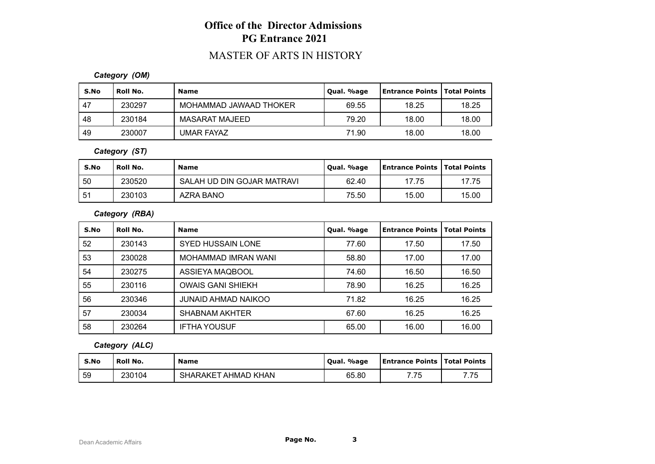### MASTER OF ARTS IN HISTORY

#### *Category (OM)*

| S.No | Roll No. | <b>Name</b>            | Qual. %age | <b>Entrance Points   Total Points</b> |       |
|------|----------|------------------------|------------|---------------------------------------|-------|
| 47   | 230297   | MOHAMMAD JAWAAD THOKER | 69.55      | 18.25                                 | 18.25 |
| 48   | 230184   | MASARAT MAJEED         | 79.20      | 18.00                                 | 18.00 |
| 49   | 230007   | <b>UMAR FAYAZ</b>      | 71.90      | 18.00                                 | 18.00 |

#### *Category (ST)*

| S.No | Roll No. | <b>Name</b>                | Qual. %age | <b>Entrance Points   Total Points</b> |       |
|------|----------|----------------------------|------------|---------------------------------------|-------|
| 50   | 230520   | SALAH UD DIN GOJAR MATRAVI | 62.40      | 17.75                                 | 17.75 |
| -51  | 230103   | AZRA BANO                  | 75.50      | 15.00                                 | 15.00 |

### *Category (RBA)*

| S.No | Roll No. | <b>Name</b>              | Qual. %age | <b>Entrance Points</b> | <b>Total Points</b> |
|------|----------|--------------------------|------------|------------------------|---------------------|
| 52   | 230143   | <b>SYED HUSSAIN LONE</b> | 77.60      | 17.50                  | 17.50               |
| 53   | 230028   | MOHAMMAD IMRAN WANI      | 58.80      | 17.00                  | 17.00               |
| 54   | 230275   | ASSIEYA MAQBOOL          | 74.60      | 16.50                  | 16.50               |
| 55   | 230116   | <b>OWAIS GANI SHIEKH</b> | 78.90      | 16.25                  | 16.25               |
| 56   | 230346   | JUNAID AHMAD NAIKOO      | 71.82      | 16.25                  | 16.25               |
| 57   | 230034   | <b>SHABNAM AKHTER</b>    | 67.60      | 16.25                  | 16.25               |
| 58   | 230264   | <b>IFTHA YOUSUF</b>      | 65.00      | 16.00                  | 16.00               |

### *Category (ALC)*

| S.No | <b>Roll No.</b> | <b>Name</b>         | . %age<br>' Oual. | <b>Entrance Points   Total Points</b> |      |
|------|-----------------|---------------------|-------------------|---------------------------------------|------|
| 59   | 230104          | SHARAKET AHMAD KHAN | 65.80             | フフロ                                   | 7.75 |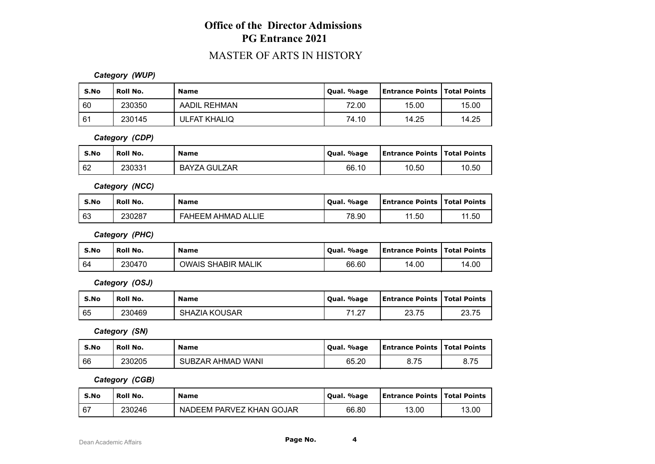### MASTER OF ARTS IN HISTORY

#### *Category (WUP)*

| S.No | Roll No. | <b>Name</b>         | Qual. %age | <b>Entrance Points   Total Points</b> |       |
|------|----------|---------------------|------------|---------------------------------------|-------|
| l 60 | 230350   | AADIL REHMAN        | 72.00      | 15.00                                 | 15.00 |
| 61   | 230145   | <b>ULFAT KHALIQ</b> | 74.10      | 14.25                                 | 14.25 |

*Category (CDP)*

| S.No | Roll No. | <b>Name</b>         | Qual. %age | <b>Entrance Points   Total Points</b> |       |
|------|----------|---------------------|------------|---------------------------------------|-------|
| 62   | 230331   | <b>BAYZA GULZAR</b> | 66.10      | 10.50                                 | 10.50 |

*Category (NCC)*

| S.No | Roll No. | <b>Name</b>               | Qual. %age | <b>Entrance Points   Total Points</b> |       |
|------|----------|---------------------------|------------|---------------------------------------|-------|
| 63   | 230287   | <b>FAHEEM AHMAD ALLIE</b> | 78.90      | 11.50                                 | 11.50 |

*Category (PHC)*

| S.No | Roll No. | <b>Name</b>               | Qual. %age | Entrance Points   Total Points |       |
|------|----------|---------------------------|------------|--------------------------------|-------|
| 64   | 230470   | <b>OWAIS SHABIR MALIK</b> | 66.60      | 14.00                          | 14.00 |

*Category (OSJ)*

| S.No | Roll No. | <b>Name</b>   | Qual. %age            | <b>Entrance Points   Total Points</b> |       |
|------|----------|---------------|-----------------------|---------------------------------------|-------|
| 65   | 230469   | SHAZIA KOUSAR | 74.07<br>$\mathsf{L}$ | つつ フド<br>ں ، رے                       | 23.75 |

*Category (SN)*

| S.No | Roll No. | <b>Name</b>       | Qual. %age | <b>Entrance Points   Total Points</b> |      |
|------|----------|-------------------|------------|---------------------------------------|------|
| 66   | 230205   | SUBZAR AHMAD WANI | 65.20      | 8.75                                  | 8.75 |

*Category (CGB)*

| S.No | Roll No. | <b>Name</b>              | Qual. %age | <b>Entrance Points   Total Points</b> |       |
|------|----------|--------------------------|------------|---------------------------------------|-------|
| .67  | 230246   | NADEEM PARVEZ KHAN GOJAR | 66.80      | 13.00                                 | 13.00 |